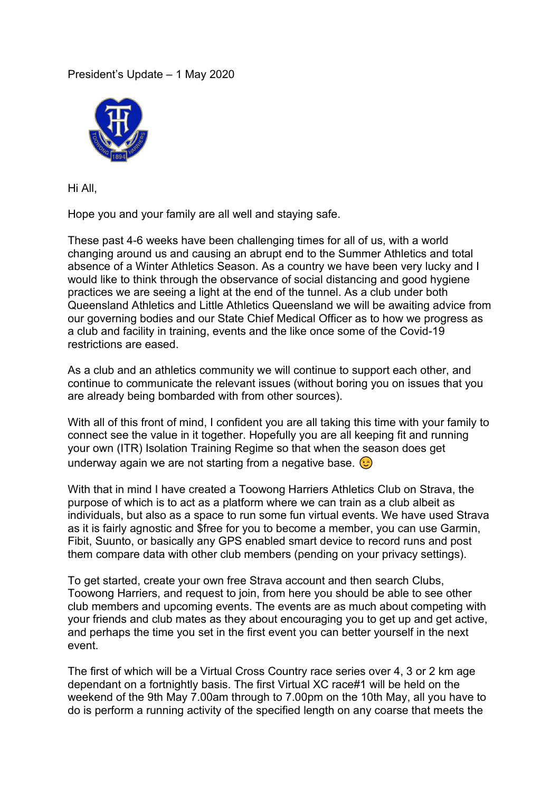## President's Update – 1 May 2020



Hi All,

Hope you and your family are all well and staying safe.

These past 4-6 weeks have been challenging times for all of us, with a world changing around us and causing an abrupt end to the Summer Athletics and total absence of a Winter Athletics Season. As a country we have been very lucky and I would like to think through the observance of social distancing and good hygiene practices we are seeing a light at the end of the tunnel. As a club under both Queensland Athletics and Little Athletics Queensland we will be awaiting advice from our governing bodies and our State Chief Medical Officer as to how we progress as a club and facility in training, events and the like once some of the Covid-19 restrictions are eased.

As a club and an athletics community we will continue to support each other, and continue to communicate the relevant issues (without boring you on issues that you are already being bombarded with from other sources).

With all of this front of mind, I confident you are all taking this time with your family to connect see the value in it together. Hopefully you are all keeping fit and running your own (ITR) Isolation Training Regime so that when the season does get underway again we are not starting from a negative base.  $\odot$ 

With that in mind I have created a Toowong Harriers Athletics Club on Strava, the purpose of which is to act as a platform where we can train as a club albeit as individuals, but also as a space to run some fun virtual events. We have used Strava as it is fairly agnostic and \$free for you to become a member, you can use Garmin, Fibit, Suunto, or basically any GPS enabled smart device to record runs and post them compare data with other club members (pending on your privacy settings).

To get started, create your own free Strava account and then search Clubs, Toowong Harriers, and request to join, from here you should be able to see other club members and upcoming events. The events are as much about competing with your friends and club mates as they about encouraging you to get up and get active, and perhaps the time you set in the first event you can better yourself in the next event.

The first of which will be a Virtual Cross Country race series over 4, 3 or 2 km age dependant on a fortnightly basis. The first Virtual XC race#1 will be held on the weekend of the 9th May 7.00am through to 7.00pm on the 10th May, all you have to do is perform a running activity of the specified length on any coarse that meets the